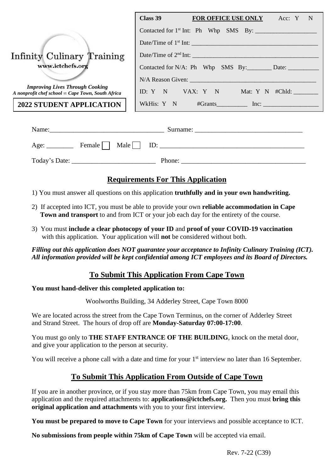|                                                                                                    | Class 39<br><b>FOR OFFICE USE ONLY</b> Acc: Y N |  |  |  |
|----------------------------------------------------------------------------------------------------|-------------------------------------------------|--|--|--|
|                                                                                                    |                                                 |  |  |  |
|                                                                                                    | Date/Time of $1st$ Int:                         |  |  |  |
| Infinity Culinary Training                                                                         | Date/Time of $2nd$ Int:                         |  |  |  |
| www.ictchefs.org                                                                                   |                                                 |  |  |  |
|                                                                                                    |                                                 |  |  |  |
| <b>Improving Lives Through Cooking</b><br>A nonprofit chef school $\infty$ Cape Town, South Africa | ID: Y N VAX: Y N Mat: Y N #Chld:                |  |  |  |
| <b>2022 STUDENT APPLICATION</b>                                                                    | WkHis: Y N #Grants Inc: Inc:                    |  |  |  |

| Name:         | Surname:                              |  |
|---------------|---------------------------------------|--|
| Age:          | Female $\Box$ Male<br>$\parallel$ ID: |  |
| Today's Date: | Phone:                                |  |

# **Requirements For This Application**

- 1) You must answer all questions on this application **truthfully and in your own handwriting.**
- 2) If accepted into ICT, you must be able to provide your own **reliable accommodation in Cape Town and transport** to and from ICT or your job each day for the entirety of the course.
- 3) You must **include a clear photocopy of your ID** and **proof of your COVID-19 vaccination** with this application. Your application will **not** be considered without both.

*Filling out this application does NOT guarantee your acceptance to Infinity Culinary Training (ICT). All information provided will be kept confidential among ICT employees and its Board of Directors.*

### **To Submit This Application From Cape Town**

#### **You must hand-deliver this completed application to:**

Woolworths Building, 34 Adderley Street, Cape Town 8000

We are located across the street from the Cape Town Terminus, on the corner of Adderley Street and Strand Street. The hours of drop off are **Monday-Saturday 07:00-17:00**.

You must go only to **THE STAFF ENTRANCE OF THE BUILDING**, knock on the metal door, and give your application to the person at security.

You will receive a phone call with a date and time for your 1<sup>st</sup> interview no later than 16 September.

### **To Submit This Application From Outside of Cape Town**

If you are in another province, or if you stay more than 75km from Cape Town, you may email this application and the required attachments to: **[applications@ictchefs.org.](mailto:applications@ictchefs.org)** Then you must **bring this original application and attachments** with you to your first interview.

**You must be prepared to move to Cape Town** for your interviews and possible acceptance to ICT.

**No submissions from people within 75km of Cape Town** will be accepted via email.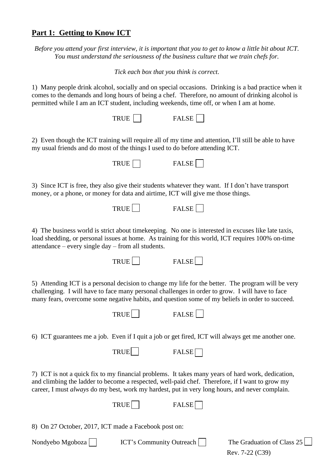### **Part 1: Getting to Know ICT**

*Before you attend your first interview, it is important that you to get to know a little bit about ICT. You must understand the seriousness of the business culture that we train chefs for.*

*Tick each box that you think is correct.*

1) Many people drink alcohol, socially and on special occasions. Drinking is a bad practice when it comes to the demands and long hours of being a chef. Therefore, no amount of drinking alcohol is permitted while I am an ICT student, including weekends, time off, or when I am at home.

2) Even though the ICT training will require all of my time and attention, I'll still be able to have my usual friends and do most of the things I used to do before attending ICT.



3) Since ICT is free, they also give their students whatever they want. If I don't have transport money, or a phone, or money for data and airtime, ICT will give me those things.



4) The business world is strict about timekeeping. No one is interested in excuses like late taxis, load shedding, or personal issues at home. As training for this world, ICT requires 100% on-time attendance – every single day – from all students.

TRUE **FALSE** 

5) Attending ICT is a personal decision to change my life for the better. The program will be very challenging. I will have to face many personal challenges in order to grow. I will have to face many fears, overcome some negative habits, and question some of my beliefs in order to succeed.

 $TRUE$  FA

6) ICT guarantees me a job. Even if I quit a job or get fired, ICT will always get me another one.

| <b>TRUE</b> |  | <b>FALSE</b> |
|-------------|--|--------------|
|-------------|--|--------------|

7) ICT is not a quick fix to my financial problems. It takes many years of hard work, dedication, and climbing the ladder to become a respected, well-paid chef. Therefore, if I want to grow my career, I must *always* do my best, work my hardest, put in very long hours, and never complain.

| TRUE. | <b>FALSE</b><br>СL. |
|-------|---------------------|
|-------|---------------------|

8) On 27 October, 2017, ICT made a Facebook post on:

| Nondyebo Mgoboza | <b>ICT's Community Outreach</b> | The Graduation of Class 25 |
|------------------|---------------------------------|----------------------------|
|                  |                                 | Rev. $7-22$ (C39)          |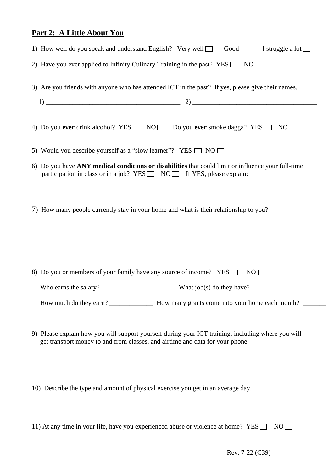## **Part 2: A Little About You**

| 1) How well do you speak and understand English? Very well $\Box$ Good $\Box$<br>I struggle a lot $\Box$                                                                            |
|-------------------------------------------------------------------------------------------------------------------------------------------------------------------------------------|
| 2) Have you ever applied to Infinity Culinary Training in the past? YES $\Box$ NO $\Box$                                                                                            |
| 3) Are you friends with anyone who has attended ICT in the past? If yes, please give their names.                                                                                   |
|                                                                                                                                                                                     |
| 4) Do you ever drink alcohol? YES $\Box$ NO $\Box$ Do you ever smoke dagga? YES $\Box$ NO $\Box$                                                                                    |
| 5) Would you describe yourself as a "slow learner"? YES $\Box$ NO $\Box$                                                                                                            |
| 6) Do you have ANY medical conditions or disabilities that could limit or influence your full-time<br>participation in class or in a job? YES□ NO□ If YES, please explain:          |
| 7) How many people currently stay in your home and what is their relationship to you?                                                                                               |
| 8) Do you or members of your family have any source of income? $YES \Box$<br>NO                                                                                                     |
|                                                                                                                                                                                     |
|                                                                                                                                                                                     |
| 9) Please explain how you will support yourself during your ICT training, including where you will<br>get transport money to and from classes, and airtime and data for your phone. |

10) Describe the type and amount of physical exercise you get in an average day.

|  |  |  |  | 11) At any time in your life, have you experienced abuse or violence at home? YES $\Box$ NO $\Box$ |  |  |
|--|--|--|--|----------------------------------------------------------------------------------------------------|--|--|
|  |  |  |  |                                                                                                    |  |  |